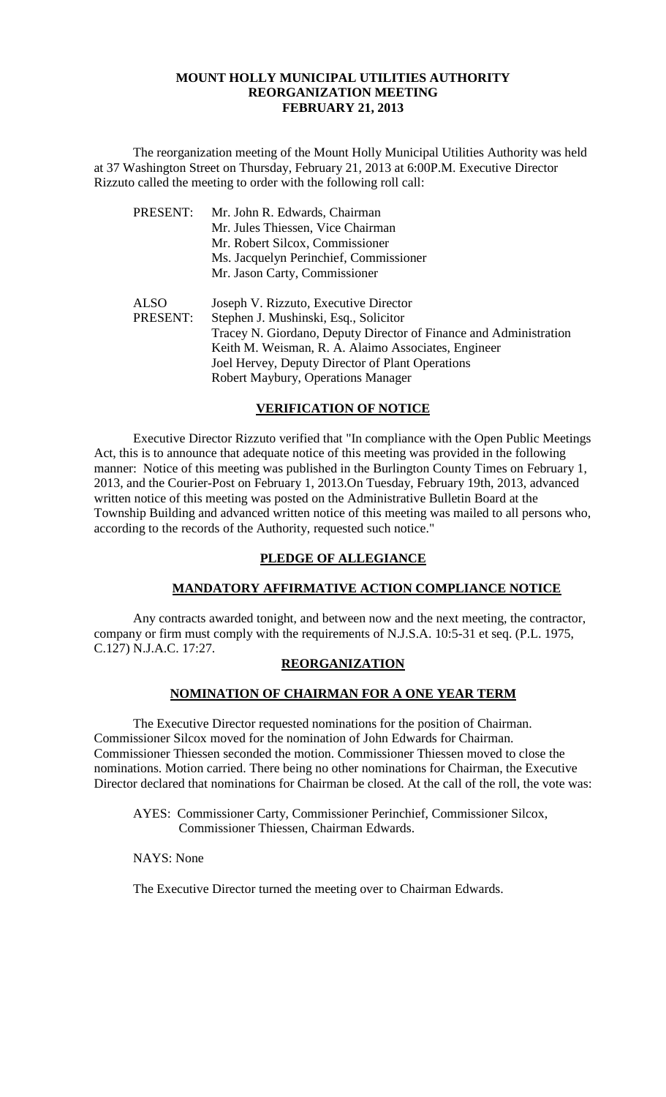#### **MOUNT HOLLY MUNICIPAL UTILITIES AUTHORITY REORGANIZATION MEETING FEBRUARY 21, 2013**

The reorganization meeting of the Mount Holly Municipal Utilities Authority was held at 37 Washington Street on Thursday, February 21, 2013 at 6:00P.M. Executive Director Rizzuto called the meeting to order with the following roll call:

| PRESENT:    | Mr. John R. Edwards, Chairman                                     |
|-------------|-------------------------------------------------------------------|
|             | Mr. Jules Thiessen, Vice Chairman                                 |
|             | Mr. Robert Silcox, Commissioner                                   |
|             | Ms. Jacquelyn Perinchief, Commissioner                            |
|             | Mr. Jason Carty, Commissioner                                     |
| <b>ALSO</b> | Joseph V. Rizzuto, Executive Director                             |
| PRESENT:    | Stephen J. Mushinski, Esq., Solicitor                             |
|             | Tracey N. Giordano, Deputy Director of Finance and Administration |
|             | Keith M. Weisman, R. A. Alaimo Associates, Engineer               |
|             | Joel Hervey, Deputy Director of Plant Operations                  |
|             | Robert Maybury, Operations Manager                                |

### **VERIFICATION OF NOTICE**

Executive Director Rizzuto verified that "In compliance with the Open Public Meetings Act, this is to announce that adequate notice of this meeting was provided in the following manner: Notice of this meeting was published in the Burlington County Times on February 1, 2013, and the Courier-Post on February 1, 2013.On Tuesday, February 19th, 2013, advanced written notice of this meeting was posted on the Administrative Bulletin Board at the Township Building and advanced written notice of this meeting was mailed to all persons who, according to the records of the Authority, requested such notice."

# **PLEDGE OF ALLEGIANCE**

### **MANDATORY AFFIRMATIVE ACTION COMPLIANCE NOTICE**

Any contracts awarded tonight, and between now and the next meeting, the contractor, company or firm must comply with the requirements of N.J.S.A. 10:5-31 et seq. (P.L. 1975, C.127) N.J.A.C. 17:27.

# **REORGANIZATION**

## **NOMINATION OF CHAIRMAN FOR A ONE YEAR TERM**

The Executive Director requested nominations for the position of Chairman. Commissioner Silcox moved for the nomination of John Edwards for Chairman. Commissioner Thiessen seconded the motion. Commissioner Thiessen moved to close the nominations. Motion carried. There being no other nominations for Chairman, the Executive Director declared that nominations for Chairman be closed. At the call of the roll, the vote was:

AYES: Commissioner Carty, Commissioner Perinchief, Commissioner Silcox, Commissioner Thiessen, Chairman Edwards.

NAYS: None

The Executive Director turned the meeting over to Chairman Edwards.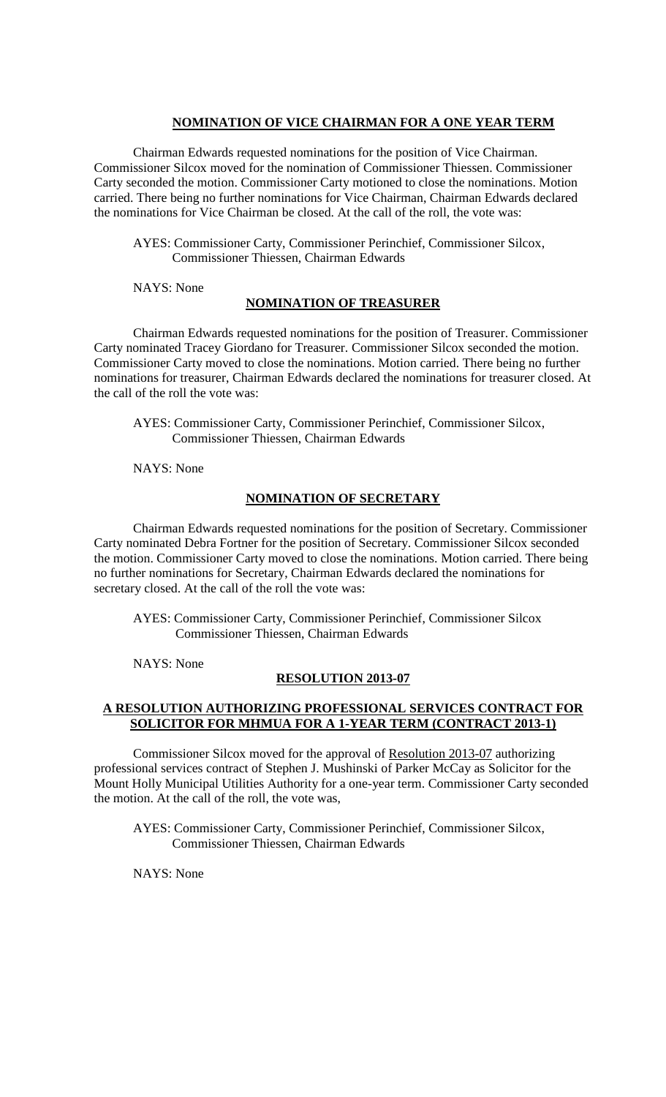#### **NOMINATION OF VICE CHAIRMAN FOR A ONE YEAR TERM**

Chairman Edwards requested nominations for the position of Vice Chairman. Commissioner Silcox moved for the nomination of Commissioner Thiessen. Commissioner Carty seconded the motion. Commissioner Carty motioned to close the nominations. Motion carried. There being no further nominations for Vice Chairman, Chairman Edwards declared the nominations for Vice Chairman be closed. At the call of the roll, the vote was:

AYES: Commissioner Carty, Commissioner Perinchief, Commissioner Silcox, Commissioner Thiessen, Chairman Edwards

NAYS: None

#### **NOMINATION OF TREASURER**

Chairman Edwards requested nominations for the position of Treasurer. Commissioner Carty nominated Tracey Giordano for Treasurer. Commissioner Silcox seconded the motion. Commissioner Carty moved to close the nominations. Motion carried. There being no further nominations for treasurer, Chairman Edwards declared the nominations for treasurer closed. At the call of the roll the vote was:

AYES: Commissioner Carty, Commissioner Perinchief, Commissioner Silcox, Commissioner Thiessen, Chairman Edwards

NAYS: None

#### **NOMINATION OF SECRETARY**

Chairman Edwards requested nominations for the position of Secretary. Commissioner Carty nominated Debra Fortner for the position of Secretary. Commissioner Silcox seconded the motion. Commissioner Carty moved to close the nominations. Motion carried. There being no further nominations for Secretary, Chairman Edwards declared the nominations for secretary closed. At the call of the roll the vote was:

 AYES: Commissioner Carty, Commissioner Perinchief, Commissioner Silcox Commissioner Thiessen, Chairman Edwards

NAYS: None

#### **RESOLUTION 2013-07**

## **A RESOLUTION AUTHORIZING PROFESSIONAL SERVICES CONTRACT FOR SOLICITOR FOR MHMUA FOR A 1-YEAR TERM (CONTRACT 2013-1)**

Commissioner Silcox moved for the approval of Resolution 2013-07 authorizing professional services contract of Stephen J. Mushinski of Parker McCay as Solicitor for the Mount Holly Municipal Utilities Authority for a one-year term. Commissioner Carty seconded the motion. At the call of the roll, the vote was,

AYES: Commissioner Carty, Commissioner Perinchief, Commissioner Silcox, Commissioner Thiessen, Chairman Edwards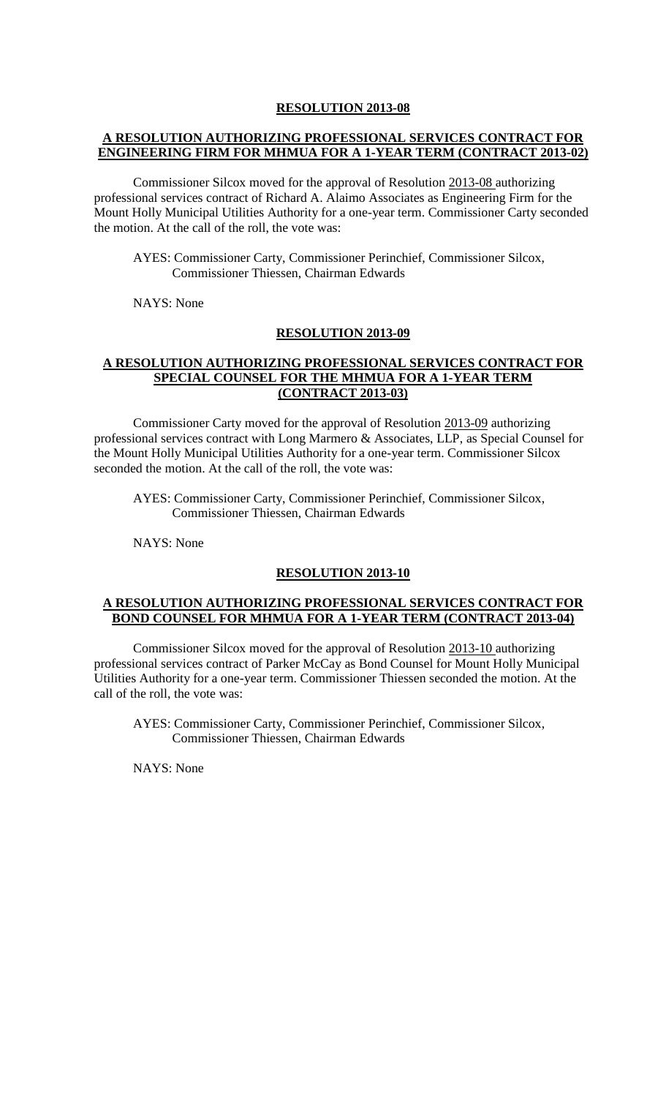## **A RESOLUTION AUTHORIZING PROFESSIONAL SERVICES CONTRACT FOR ENGINEERING FIRM FOR MHMUA FOR A 1-YEAR TERM (CONTRACT 2013-02)**

Commissioner Silcox moved for the approval of Resolution 2013-08 authorizing professional services contract of Richard A. Alaimo Associates as Engineering Firm for the Mount Holly Municipal Utilities Authority for a one-year term. Commissioner Carty seconded the motion. At the call of the roll, the vote was:

AYES: Commissioner Carty, Commissioner Perinchief, Commissioner Silcox, Commissioner Thiessen, Chairman Edwards

NAYS: None

#### **RESOLUTION 2013-09**

### **A RESOLUTION AUTHORIZING PROFESSIONAL SERVICES CONTRACT FOR SPECIAL COUNSEL FOR THE MHMUA FOR A 1-YEAR TERM (CONTRACT 2013-03)**

Commissioner Carty moved for the approval of Resolution 2013-09 authorizing professional services contract with Long Marmero & Associates, LLP, as Special Counsel for the Mount Holly Municipal Utilities Authority for a one-year term. Commissioner Silcox seconded the motion. At the call of the roll, the vote was:

AYES: Commissioner Carty, Commissioner Perinchief, Commissioner Silcox, Commissioner Thiessen, Chairman Edwards

NAYS: None

### **RESOLUTION 2013-10**

### **A RESOLUTION AUTHORIZING PROFESSIONAL SERVICES CONTRACT FOR BOND COUNSEL FOR MHMUA FOR A 1-YEAR TERM (CONTRACT 2013-04)**

Commissioner Silcox moved for the approval of Resolution 2013-10 authorizing professional services contract of Parker McCay as Bond Counsel for Mount Holly Municipal Utilities Authority for a one-year term. Commissioner Thiessen seconded the motion. At the call of the roll, the vote was:

AYES: Commissioner Carty, Commissioner Perinchief, Commissioner Silcox, Commissioner Thiessen, Chairman Edwards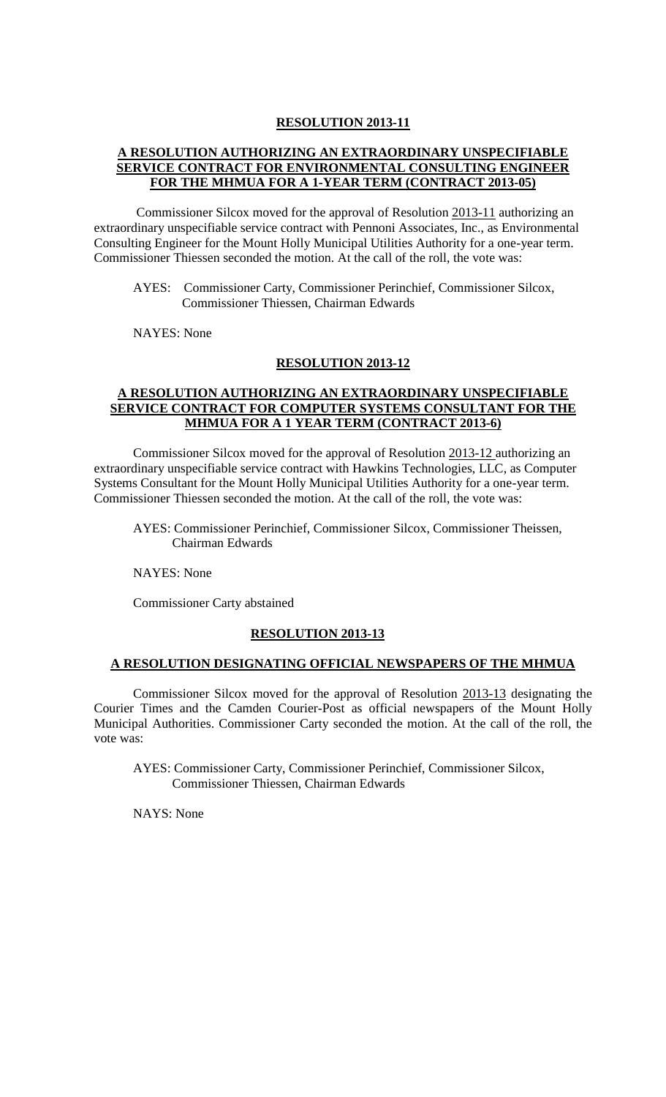## **A RESOLUTION AUTHORIZING AN EXTRAORDINARY UNSPECIFIABLE SERVICE CONTRACT FOR ENVIRONMENTAL CONSULTING ENGINEER FOR THE MHMUA FOR A 1-YEAR TERM (CONTRACT 2013-05)**

Commissioner Silcox moved for the approval of Resolution 2013-11 authorizing an extraordinary unspecifiable service contract with Pennoni Associates, Inc., as Environmental Consulting Engineer for the Mount Holly Municipal Utilities Authority for a one-year term. Commissioner Thiessen seconded the motion. At the call of the roll, the vote was:

AYES: Commissioner Carty, Commissioner Perinchief, Commissioner Silcox, Commissioner Thiessen, Chairman Edwards

NAYES: None

#### **RESOLUTION 2013-12**

## **A RESOLUTION AUTHORIZING AN EXTRAORDINARY UNSPECIFIABLE SERVICE CONTRACT FOR COMPUTER SYSTEMS CONSULTANT FOR THE MHMUA FOR A 1 YEAR TERM (CONTRACT 2013-6)**

Commissioner Silcox moved for the approval of Resolution 2013-12 authorizing an extraordinary unspecifiable service contract with Hawkins Technologies, LLC, as Computer Systems Consultant for the Mount Holly Municipal Utilities Authority for a one-year term. Commissioner Thiessen seconded the motion. At the call of the roll, the vote was:

AYES: Commissioner Perinchief, Commissioner Silcox, Commissioner Theissen, Chairman Edwards

NAYES: None

Commissioner Carty abstained

#### **RESOLUTION 2013-13**

#### **A RESOLUTION DESIGNATING OFFICIAL NEWSPAPERS OF THE MHMUA**

Commissioner Silcox moved for the approval of Resolution 2013-13 designating the Courier Times and the Camden Courier-Post as official newspapers of the Mount Holly Municipal Authorities. Commissioner Carty seconded the motion. At the call of the roll, the vote was:

AYES: Commissioner Carty, Commissioner Perinchief, Commissioner Silcox, Commissioner Thiessen, Chairman Edwards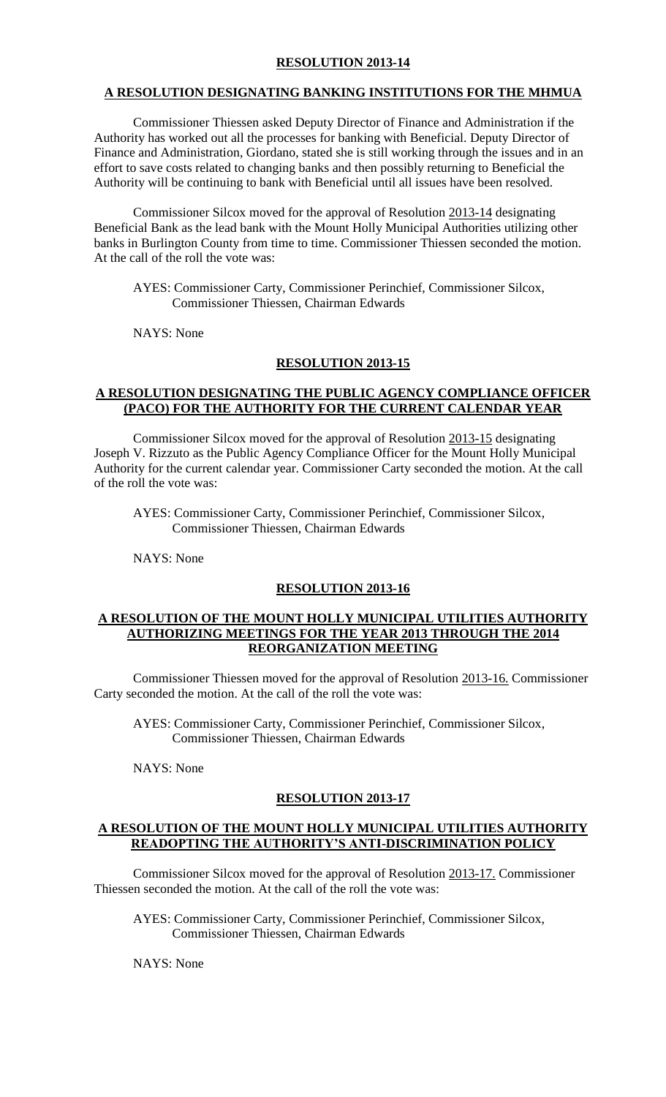#### **A RESOLUTION DESIGNATING BANKING INSTITUTIONS FOR THE MHMUA**

Commissioner Thiessen asked Deputy Director of Finance and Administration if the Authority has worked out all the processes for banking with Beneficial. Deputy Director of Finance and Administration, Giordano, stated she is still working through the issues and in an effort to save costs related to changing banks and then possibly returning to Beneficial the Authority will be continuing to bank with Beneficial until all issues have been resolved.

Commissioner Silcox moved for the approval of Resolution 2013-14 designating Beneficial Bank as the lead bank with the Mount Holly Municipal Authorities utilizing other banks in Burlington County from time to time. Commissioner Thiessen seconded the motion. At the call of the roll the vote was:

AYES: Commissioner Carty, Commissioner Perinchief, Commissioner Silcox, Commissioner Thiessen, Chairman Edwards

NAYS: None

#### **RESOLUTION 2013-15**

## **A RESOLUTION DESIGNATING THE PUBLIC AGENCY COMPLIANCE OFFICER (PACO) FOR THE AUTHORITY FOR THE CURRENT CALENDAR YEAR**

Commissioner Silcox moved for the approval of Resolution 2013-15 designating Joseph V. Rizzuto as the Public Agency Compliance Officer for the Mount Holly Municipal Authority for the current calendar year. Commissioner Carty seconded the motion. At the call of the roll the vote was:

AYES: Commissioner Carty, Commissioner Perinchief, Commissioner Silcox, Commissioner Thiessen, Chairman Edwards

NAYS: None

### **RESOLUTION 2013-16**

#### **A RESOLUTION OF THE MOUNT HOLLY MUNICIPAL UTILITIES AUTHORITY AUTHORIZING MEETINGS FOR THE YEAR 2013 THROUGH THE 2014 REORGANIZATION MEETING**

Commissioner Thiessen moved for the approval of Resolution 2013-16. Commissioner Carty seconded the motion. At the call of the roll the vote was:

AYES: Commissioner Carty, Commissioner Perinchief, Commissioner Silcox, Commissioner Thiessen, Chairman Edwards

NAYS: None

#### **RESOLUTION 2013-17**

#### **A RESOLUTION OF THE MOUNT HOLLY MUNICIPAL UTILITIES AUTHORITY READOPTING THE AUTHORITY'S ANTI-DISCRIMINATION POLICY**

Commissioner Silcox moved for the approval of Resolution 2013-17. Commissioner Thiessen seconded the motion. At the call of the roll the vote was:

AYES: Commissioner Carty, Commissioner Perinchief, Commissioner Silcox, Commissioner Thiessen, Chairman Edwards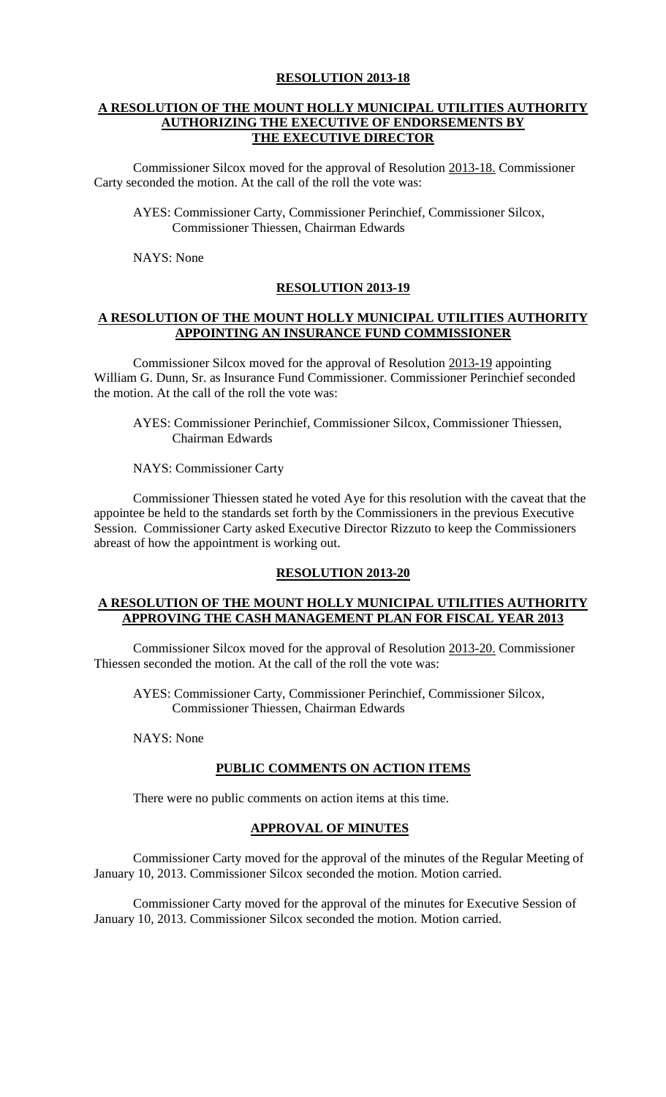### **A RESOLUTION OF THE MOUNT HOLLY MUNICIPAL UTILITIES AUTHORITY AUTHORIZING THE EXECUTIVE OF ENDORSEMENTS BY THE EXECUTIVE DIRECTOR**

Commissioner Silcox moved for the approval of Resolution 2013-18. Commissioner Carty seconded the motion. At the call of the roll the vote was:

AYES: Commissioner Carty, Commissioner Perinchief, Commissioner Silcox, Commissioner Thiessen, Chairman Edwards

NAYS: None

### **RESOLUTION 2013-19**

### **A RESOLUTION OF THE MOUNT HOLLY MUNICIPAL UTILITIES AUTHORITY APPOINTING AN INSURANCE FUND COMMISSIONER**

Commissioner Silcox moved for the approval of Resolution 2013-19 appointing William G. Dunn, Sr. as Insurance Fund Commissioner. Commissioner Perinchief seconded the motion. At the call of the roll the vote was:

AYES: Commissioner Perinchief, Commissioner Silcox, Commissioner Thiessen, Chairman Edwards

NAYS: Commissioner Carty

Commissioner Thiessen stated he voted Aye for this resolution with the caveat that the appointee be held to the standards set forth by the Commissioners in the previous Executive Session. Commissioner Carty asked Executive Director Rizzuto to keep the Commissioners abreast of how the appointment is working out.

### **RESOLUTION 2013-20**

### **A RESOLUTION OF THE MOUNT HOLLY MUNICIPAL UTILITIES AUTHORITY APPROVING THE CASH MANAGEMENT PLAN FOR FISCAL YEAR 2013**

Commissioner Silcox moved for the approval of Resolution 2013-20. Commissioner Thiessen seconded the motion. At the call of the roll the vote was:

AYES: Commissioner Carty, Commissioner Perinchief, Commissioner Silcox, Commissioner Thiessen, Chairman Edwards

NAYS: None

#### **PUBLIC COMMENTS ON ACTION ITEMS**

There were no public comments on action items at this time.

# **APPROVAL OF MINUTES**

Commissioner Carty moved for the approval of the minutes of the Regular Meeting of January 10, 2013. Commissioner Silcox seconded the motion. Motion carried.

Commissioner Carty moved for the approval of the minutes for Executive Session of January 10, 2013. Commissioner Silcox seconded the motion. Motion carried.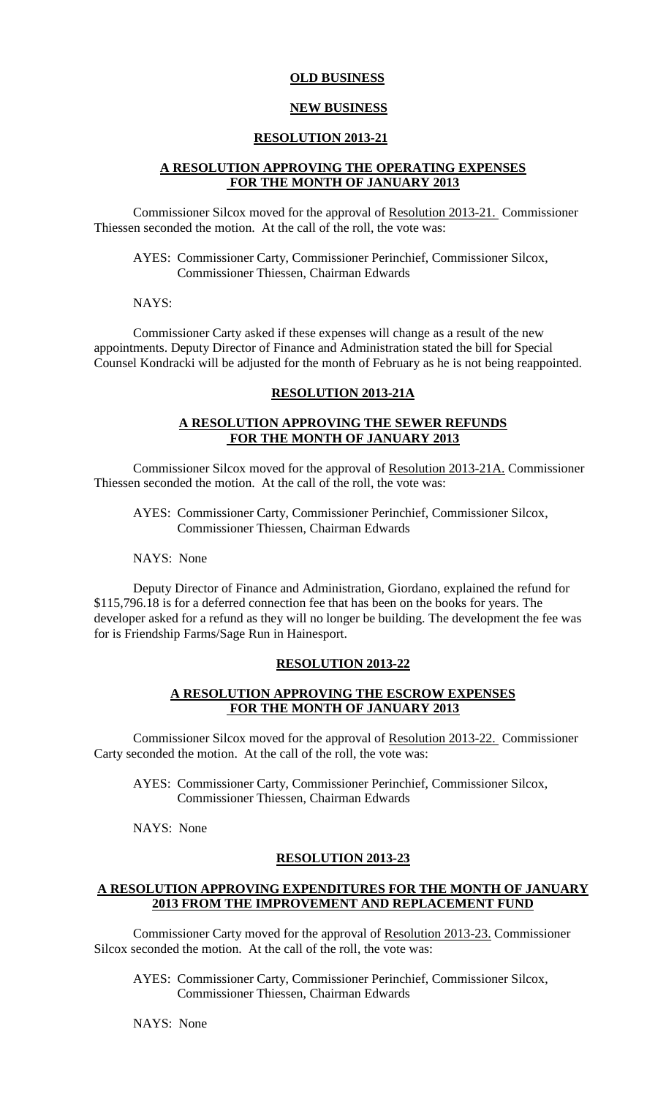### **OLD BUSINESS**

#### **NEW BUSINESS**

#### **RESOLUTION 2013-21**

### **A RESOLUTION APPROVING THE OPERATING EXPENSES FOR THE MONTH OF JANUARY 2013**

Commissioner Silcox moved for the approval of Resolution 2013-21. Commissioner Thiessen seconded the motion. At the call of the roll, the vote was:

AYES: Commissioner Carty, Commissioner Perinchief, Commissioner Silcox, Commissioner Thiessen, Chairman Edwards

NAYS:

Commissioner Carty asked if these expenses will change as a result of the new appointments. Deputy Director of Finance and Administration stated the bill for Special Counsel Kondracki will be adjusted for the month of February as he is not being reappointed.

#### **RESOLUTION 2013-21A**

### **A RESOLUTION APPROVING THE SEWER REFUNDS FOR THE MONTH OF JANUARY 2013**

Commissioner Silcox moved for the approval of Resolution 2013-21A. Commissioner Thiessen seconded the motion. At the call of the roll, the vote was:

AYES: Commissioner Carty, Commissioner Perinchief, Commissioner Silcox, Commissioner Thiessen, Chairman Edwards

NAYS: None

Deputy Director of Finance and Administration, Giordano, explained the refund for \$115,796.18 is for a deferred connection fee that has been on the books for years. The developer asked for a refund as they will no longer be building. The development the fee was for is Friendship Farms/Sage Run in Hainesport.

#### **RESOLUTION 2013-22**

### **A RESOLUTION APPROVING THE ESCROW EXPENSES FOR THE MONTH OF JANUARY 2013**

Commissioner Silcox moved for the approval of Resolution 2013-22. Commissioner Carty seconded the motion. At the call of the roll, the vote was:

AYES: Commissioner Carty, Commissioner Perinchief, Commissioner Silcox, Commissioner Thiessen, Chairman Edwards

NAYS: None

### **RESOLUTION 2013-23**

### **A RESOLUTION APPROVING EXPENDITURES FOR THE MONTH OF JANUARY 2013 FROM THE IMPROVEMENT AND REPLACEMENT FUND**

Commissioner Carty moved for the approval of Resolution 2013-23. Commissioner Silcox seconded the motion. At the call of the roll, the vote was:

AYES: Commissioner Carty, Commissioner Perinchief, Commissioner Silcox, Commissioner Thiessen, Chairman Edwards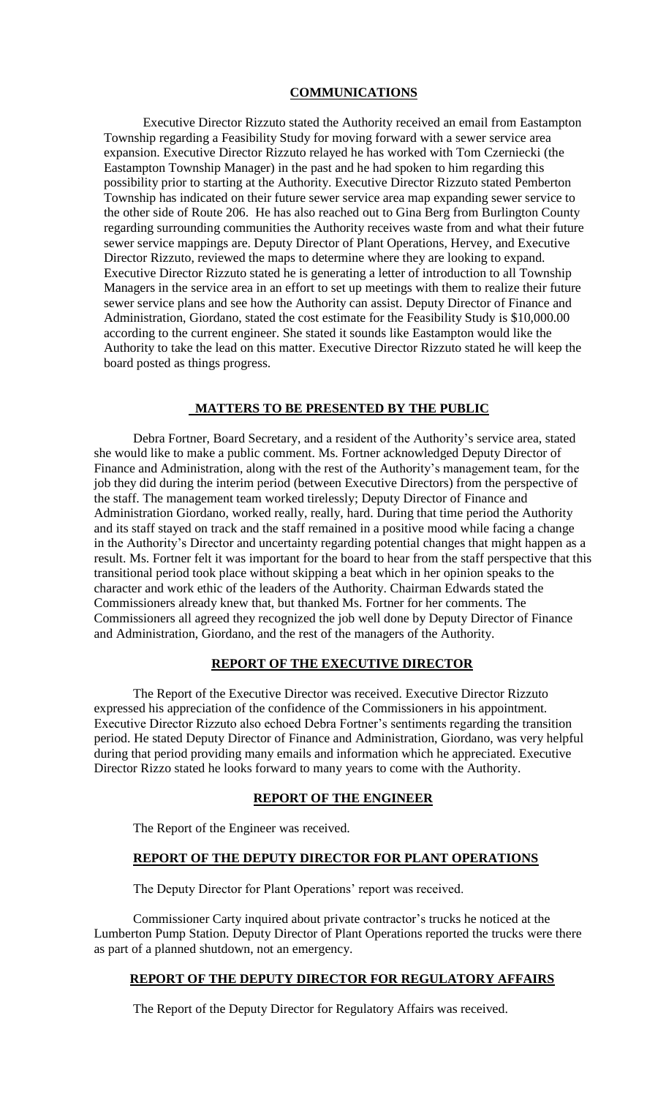#### **COMMUNICATIONS**

Executive Director Rizzuto stated the Authority received an email from Eastampton Township regarding a Feasibility Study for moving forward with a sewer service area expansion. Executive Director Rizzuto relayed he has worked with Tom Czerniecki (the Eastampton Township Manager) in the past and he had spoken to him regarding this possibility prior to starting at the Authority. Executive Director Rizzuto stated Pemberton Township has indicated on their future sewer service area map expanding sewer service to the other side of Route 206. He has also reached out to Gina Berg from Burlington County regarding surrounding communities the Authority receives waste from and what their future sewer service mappings are. Deputy Director of Plant Operations, Hervey, and Executive Director Rizzuto, reviewed the maps to determine where they are looking to expand. Executive Director Rizzuto stated he is generating a letter of introduction to all Township Managers in the service area in an effort to set up meetings with them to realize their future sewer service plans and see how the Authority can assist. Deputy Director of Finance and Administration, Giordano, stated the cost estimate for the Feasibility Study is \$10,000.00 according to the current engineer. She stated it sounds like Eastampton would like the Authority to take the lead on this matter. Executive Director Rizzuto stated he will keep the board posted as things progress.

#### **MATTERS TO BE PRESENTED BY THE PUBLIC**

Debra Fortner, Board Secretary, and a resident of the Authority's service area, stated she would like to make a public comment. Ms. Fortner acknowledged Deputy Director of Finance and Administration, along with the rest of the Authority's management team, for the job they did during the interim period (between Executive Directors) from the perspective of the staff. The management team worked tirelessly; Deputy Director of Finance and Administration Giordano, worked really, really, hard. During that time period the Authority and its staff stayed on track and the staff remained in a positive mood while facing a change in the Authority's Director and uncertainty regarding potential changes that might happen as a result. Ms. Fortner felt it was important for the board to hear from the staff perspective that this transitional period took place without skipping a beat which in her opinion speaks to the character and work ethic of the leaders of the Authority. Chairman Edwards stated the Commissioners already knew that, but thanked Ms. Fortner for her comments. The Commissioners all agreed they recognized the job well done by Deputy Director of Finance and Administration, Giordano, and the rest of the managers of the Authority.

## **REPORT OF THE EXECUTIVE DIRECTOR**

The Report of the Executive Director was received. Executive Director Rizzuto expressed his appreciation of the confidence of the Commissioners in his appointment. Executive Director Rizzuto also echoed Debra Fortner's sentiments regarding the transition period. He stated Deputy Director of Finance and Administration, Giordano, was very helpful during that period providing many emails and information which he appreciated. Executive Director Rizzo stated he looks forward to many years to come with the Authority.

#### **REPORT OF THE ENGINEER**

The Report of the Engineer was received.

## **REPORT OF THE DEPUTY DIRECTOR FOR PLANT OPERATIONS**

The Deputy Director for Plant Operations' report was received.

Commissioner Carty inquired about private contractor's trucks he noticed at the Lumberton Pump Station. Deputy Director of Plant Operations reported the trucks were there as part of a planned shutdown, not an emergency.

# **REPORT OF THE DEPUTY DIRECTOR FOR REGULATORY AFFAIRS**

The Report of the Deputy Director for Regulatory Affairs was received.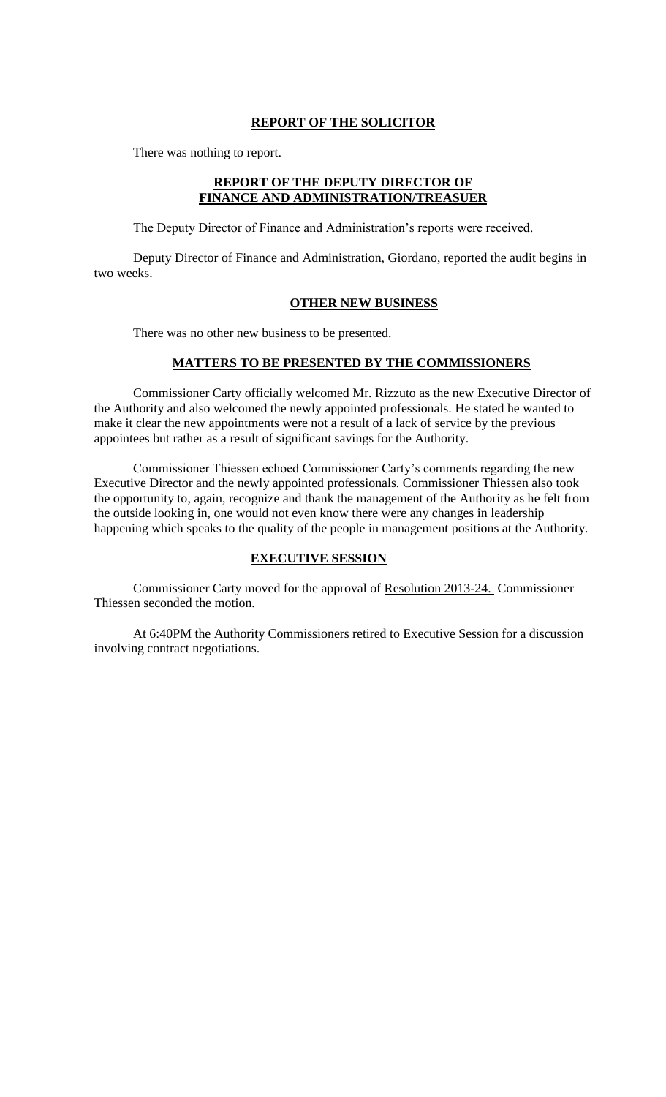## **REPORT OF THE SOLICITOR**

There was nothing to report.

### **REPORT OF THE DEPUTY DIRECTOR OF FINANCE AND ADMINISTRATION/TREASUER**

The Deputy Director of Finance and Administration's reports were received.

Deputy Director of Finance and Administration, Giordano, reported the audit begins in two weeks.

#### **OTHER NEW BUSINESS**

There was no other new business to be presented.

# **MATTERS TO BE PRESENTED BY THE COMMISSIONERS**

Commissioner Carty officially welcomed Mr. Rizzuto as the new Executive Director of the Authority and also welcomed the newly appointed professionals. He stated he wanted to make it clear the new appointments were not a result of a lack of service by the previous appointees but rather as a result of significant savings for the Authority.

Commissioner Thiessen echoed Commissioner Carty's comments regarding the new Executive Director and the newly appointed professionals. Commissioner Thiessen also took the opportunity to, again, recognize and thank the management of the Authority as he felt from the outside looking in, one would not even know there were any changes in leadership happening which speaks to the quality of the people in management positions at the Authority.

## **EXECUTIVE SESSION**

Commissioner Carty moved for the approval of Resolution 2013-24. Commissioner Thiessen seconded the motion.

At 6:40PM the Authority Commissioners retired to Executive Session for a discussion involving contract negotiations.